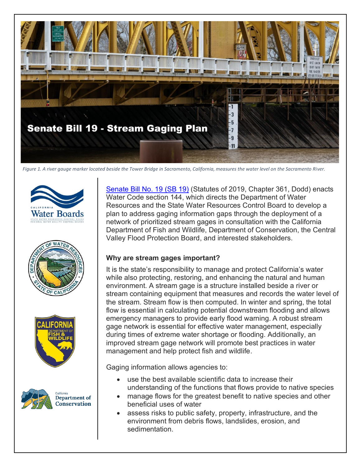

*Figure 1. A river gauge marker located beside the Tower Bridge in Sacramento, California, measures the water level on the Sacramento River.*









[Senate Bill No. 19](https://leginfo.legislature.ca.gov/faces/billTextClient.xhtml?bill_id=201920200SB19) (SB 19) (Statutes of 2019, Chapter 361, Dodd) enacts Water Code section 144, which directs the Department of Water Resources and the State Water Resources Control Board to develop a plan to address gaging information gaps through the deployment of a network of prioritized stream gages in consultation with the California Department of Fish and Wildlife, Department of Conservation, the Central Valley Flood Protection Board, and interested stakeholders.

## **Why are stream gages important?**

It is the state's responsibility to manage and protect California's water while also protecting, restoring, and enhancing the natural and human environment. A stream gage is a structure installed beside a river or stream containing equipment that measures and records the water level of the stream. Stream flow is then computed. In winter and spring, the total flow is essential in calculating potential downstream flooding and allows emergency managers to provide early flood warning. A robust stream gage network is essential for effective water management, especially during times of extreme water shortage or flooding. Additionally, an improved stream gage network will promote best practices in water management and help protect fish and wildlife.

Gaging information allows agencies to:

- use the best available scientific data to increase their understanding of the functions that flows provide to native species
- manage flows for the greatest benefit to native species and other beneficial uses of water
- assess risks to public safety, property, infrastructure, and the environment from debris flows, landslides, erosion, and sedimentation.